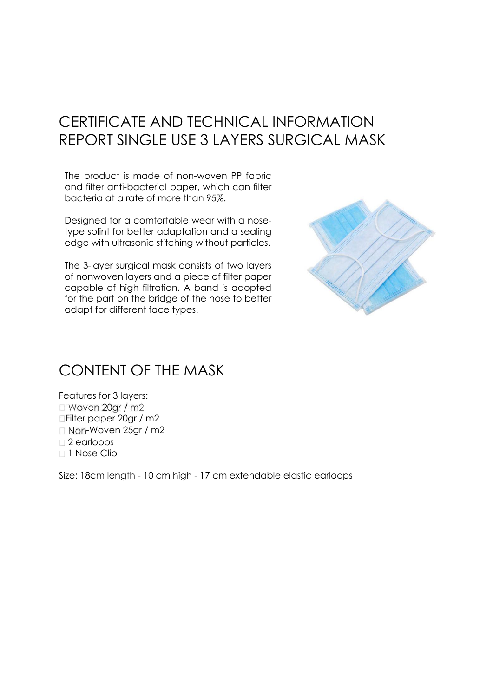## CERTIFICATE AND TECHNICAL INFORMATION REPORT SINGLE USE 3 LAYERS SURGICAL MASK

The product is made of non-woven PP fabric and filter anti-bacterial paper, which can filter bacteria at a rate of more than 95%.

Designed for a comfortable wear with a nosetype splint for better adaptation and a sealing edge with ultrasonic stitching without particles.

The 3-layer surgical mask consists of two layers of nonwoven layers and a piece of filter paper capable of high filtration. A band is adopted for the part on the bridge of the nose to better adapt for different face types.



## CONTENT OF THE MASK

Features for 3 layers:  $\Box$  Woven 20gr / m2 Filter paper 20gr / m2  $\Box$  Non-Woven 25gr / m2 □ 2 earloops □ 1 Nose Clip

Size: 18cm length - 10 cm high - 17 cm extendable elastic earloops